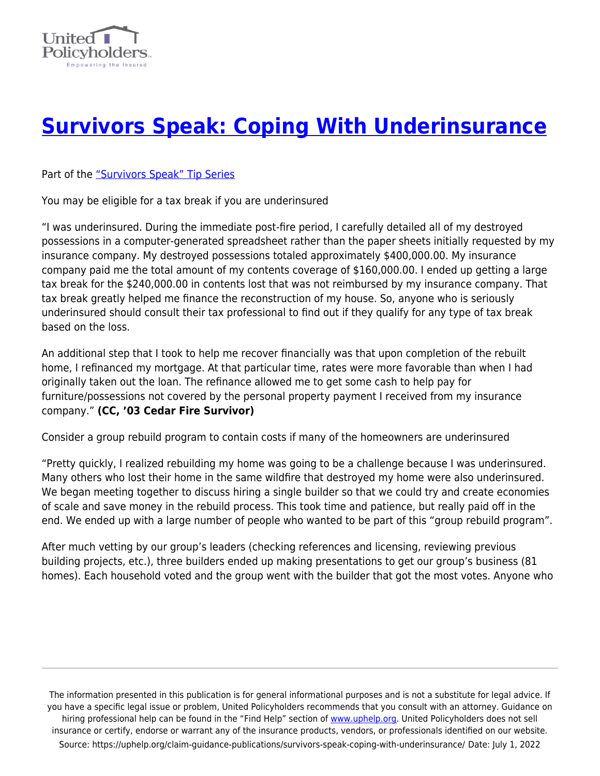

## **[Survivors Speak: Coping With Underinsurance](https://uphelp.org/claim-guidance-publications/survivors-speak-coping-with-underinsurance/)**

Part of the ["Survivors Speak" Tip Series](https://uphelp.org/claim-guidance-publications/survivors-speak-tip-series/)

You may be eligible for a tax break if you are underinsured

"I was underinsured. During the immediate post-fire period, I carefully detailed all of my destroyed possessions in a computer-generated spreadsheet rather than the paper sheets initially requested by my insurance company. My destroyed possessions totaled approximately \$400,000.00. My insurance company paid me the total amount of my contents coverage of \$160,000.00. I ended up getting a large tax break for the \$240,000.00 in contents lost that was not reimbursed by my insurance company. That tax break greatly helped me finance the reconstruction of my house. So, anyone who is seriously underinsured should consult their tax professional to find out if they qualify for any type of tax break based on the loss.

An additional step that I took to help me recover financially was that upon completion of the rebuilt home, I refinanced my mortgage. At that particular time, rates were more favorable than when I had originally taken out the loan. The refinance allowed me to get some cash to help pay for furniture/possessions not covered by the personal property payment I received from my insurance company." **(CC, '03 Cedar Fire Survivor)**

Consider a group rebuild program to contain costs if many of the homeowners are underinsured

"Pretty quickly, I realized rebuilding my home was going to be a challenge because I was underinsured. Many others who lost their home in the same wildfire that destroyed my home were also underinsured. We began meeting together to discuss hiring a single builder so that we could try and create economies of scale and save money in the rebuild process. This took time and patience, but really paid off in the end. We ended up with a large number of people who wanted to be part of this "group rebuild program".

After much vetting by our group's leaders (checking references and licensing, reviewing previous building projects, etc.), three builders ended up making presentations to get our group's business (81 homes). Each household voted and the group went with the builder that got the most votes. Anyone who

The information presented in this publication is for general informational purposes and is not a substitute for legal advice. If you have a specific legal issue or problem, United Policyholders recommends that you consult with an attorney. Guidance on hiring professional help can be found in the "Find Help" section of [www.uphelp.org.](http://www.uphelp.org/) United Policyholders does not sell insurance or certify, endorse or warrant any of the insurance products, vendors, or professionals identified on our website. Source: https://uphelp.org/claim-guidance-publications/survivors-speak-coping-with-underinsurance/ Date: July 1, 2022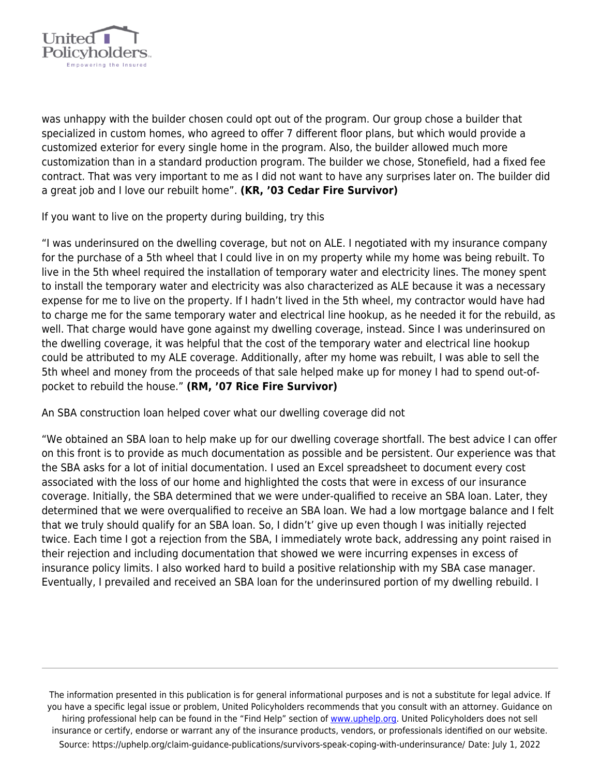

was unhappy with the builder chosen could opt out of the program. Our group chose a builder that specialized in custom homes, who agreed to offer 7 different floor plans, but which would provide a customized exterior for every single home in the program. Also, the builder allowed much more customization than in a standard production program. The builder we chose, Stonefield, had a fixed fee contract. That was very important to me as I did not want to have any surprises later on. The builder did a great job and I love our rebuilt home". **(KR, '03 Cedar Fire Survivor)**

If you want to live on the property during building, try this

"I was underinsured on the dwelling coverage, but not on ALE. I negotiated with my insurance company for the purchase of a 5th wheel that I could live in on my property while my home was being rebuilt. To live in the 5th wheel required the installation of temporary water and electricity lines. The money spent to install the temporary water and electricity was also characterized as ALE because it was a necessary expense for me to live on the property. If I hadn't lived in the 5th wheel, my contractor would have had to charge me for the same temporary water and electrical line hookup, as he needed it for the rebuild, as well. That charge would have gone against my dwelling coverage, instead. Since I was underinsured on the dwelling coverage, it was helpful that the cost of the temporary water and electrical line hookup could be attributed to my ALE coverage. Additionally, after my home was rebuilt, I was able to sell the 5th wheel and money from the proceeds of that sale helped make up for money I had to spend out-ofpocket to rebuild the house." **(RM, '07 Rice Fire Survivor)**

An SBA construction loan helped cover what our dwelling coverage did not

"We obtained an SBA loan to help make up for our dwelling coverage shortfall. The best advice I can offer on this front is to provide as much documentation as possible and be persistent. Our experience was that the SBA asks for a lot of initial documentation. I used an Excel spreadsheet to document every cost associated with the loss of our home and highlighted the costs that were in excess of our insurance coverage. Initially, the SBA determined that we were under-qualified to receive an SBA loan. Later, they determined that we were overqualified to receive an SBA loan. We had a low mortgage balance and I felt that we truly should qualify for an SBA loan. So, I didn't' give up even though I was initially rejected twice. Each time I got a rejection from the SBA, I immediately wrote back, addressing any point raised in their rejection and including documentation that showed we were incurring expenses in excess of insurance policy limits. I also worked hard to build a positive relationship with my SBA case manager. Eventually, I prevailed and received an SBA loan for the underinsured portion of my dwelling rebuild. I

The information presented in this publication is for general informational purposes and is not a substitute for legal advice. If you have a specific legal issue or problem, United Policyholders recommends that you consult with an attorney. Guidance on hiring professional help can be found in the "Find Help" section of [www.uphelp.org.](http://www.uphelp.org/) United Policyholders does not sell insurance or certify, endorse or warrant any of the insurance products, vendors, or professionals identified on our website. Source: https://uphelp.org/claim-guidance-publications/survivors-speak-coping-with-underinsurance/ Date: July 1, 2022